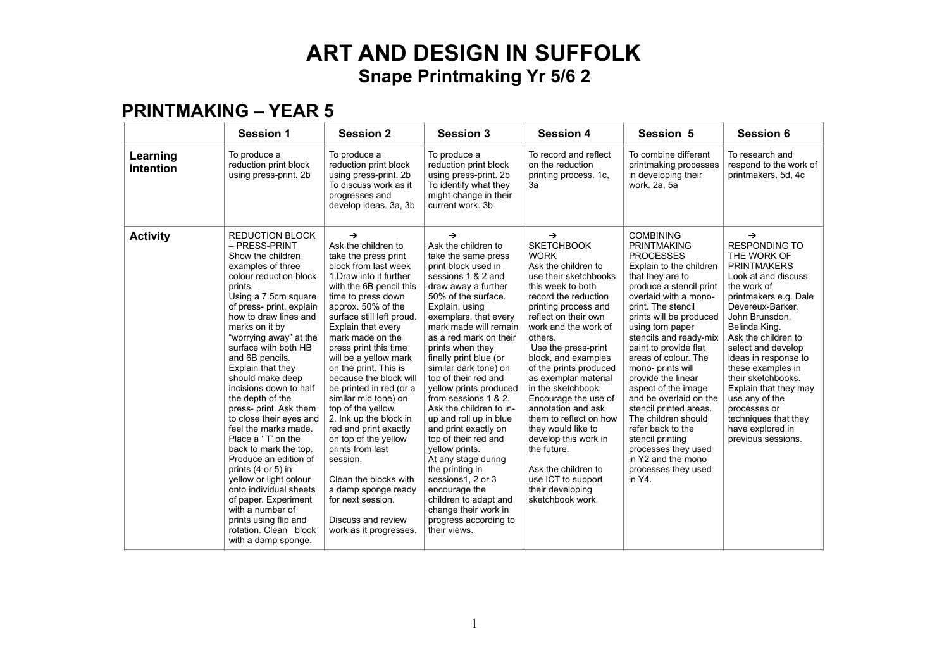#### **PRINTMAKING – YEAR 5**

|                              | <b>Session 1</b>                                                                                                                                                                                                                                                                                                                                                                                                                                                                                                                                                                                                                                                                                                                      | <b>Session 2</b>                                                                                                                                                                                                                                                                                                                                                                                                                                                                                                                                                                                                                                                            | <b>Session 3</b>                                                                                                                                                                                                                                                                                                                                                                                                                                                                                                                                                                                                                                                                                       | <b>Session 4</b>                                                                                                                                                                                                                                                                                                                                                                                                                                                                                                                                                      | Session 5                                                                                                                                                                                                                                                                                                                                                                                                                                                                                                                                                                         | <b>Session 6</b>                                                                                                                                                                                                                                                                                                                                                                                                                  |
|------------------------------|---------------------------------------------------------------------------------------------------------------------------------------------------------------------------------------------------------------------------------------------------------------------------------------------------------------------------------------------------------------------------------------------------------------------------------------------------------------------------------------------------------------------------------------------------------------------------------------------------------------------------------------------------------------------------------------------------------------------------------------|-----------------------------------------------------------------------------------------------------------------------------------------------------------------------------------------------------------------------------------------------------------------------------------------------------------------------------------------------------------------------------------------------------------------------------------------------------------------------------------------------------------------------------------------------------------------------------------------------------------------------------------------------------------------------------|--------------------------------------------------------------------------------------------------------------------------------------------------------------------------------------------------------------------------------------------------------------------------------------------------------------------------------------------------------------------------------------------------------------------------------------------------------------------------------------------------------------------------------------------------------------------------------------------------------------------------------------------------------------------------------------------------------|-----------------------------------------------------------------------------------------------------------------------------------------------------------------------------------------------------------------------------------------------------------------------------------------------------------------------------------------------------------------------------------------------------------------------------------------------------------------------------------------------------------------------------------------------------------------------|-----------------------------------------------------------------------------------------------------------------------------------------------------------------------------------------------------------------------------------------------------------------------------------------------------------------------------------------------------------------------------------------------------------------------------------------------------------------------------------------------------------------------------------------------------------------------------------|-----------------------------------------------------------------------------------------------------------------------------------------------------------------------------------------------------------------------------------------------------------------------------------------------------------------------------------------------------------------------------------------------------------------------------------|
| Learning<br><b>Intention</b> | To produce a<br>reduction print block<br>using press-print. 2b                                                                                                                                                                                                                                                                                                                                                                                                                                                                                                                                                                                                                                                                        | To produce a<br>reduction print block<br>using press-print. 2b<br>To discuss work as it<br>progresses and<br>develop ideas. 3a, 3b                                                                                                                                                                                                                                                                                                                                                                                                                                                                                                                                          | To produce a<br>reduction print block<br>using press-print. 2b<br>To identify what they<br>might change in their<br>current work, 3b                                                                                                                                                                                                                                                                                                                                                                                                                                                                                                                                                                   | To record and reflect<br>on the reduction<br>printing process. 1c,<br>За                                                                                                                                                                                                                                                                                                                                                                                                                                                                                              | To combine different<br>printmaking processes<br>in developing their<br>work, 2a, 5a                                                                                                                                                                                                                                                                                                                                                                                                                                                                                              | To research and<br>respond to the work of<br>printmakers. 5d, 4c                                                                                                                                                                                                                                                                                                                                                                  |
| <b>Activity</b>              | <b>REDUCTION BLOCK</b><br>- PRESS-PRINT<br>Show the children<br>examples of three<br>colour reduction block<br>prints.<br>Using a 7.5cm square<br>of press- print, explain<br>how to draw lines and<br>marks on it by<br>"worrying away" at the<br>surface with both HB<br>and 6B pencils.<br>Explain that they<br>should make deep<br>incisions down to half<br>the depth of the<br>press- print. Ask them<br>to close their eyes and<br>feel the marks made.<br>Place a 'T' on the<br>back to mark the top.<br>Produce an edition of<br>prints (4 or 5) in<br>yellow or light colour<br>onto individual sheets<br>of paper. Experiment<br>with a number of<br>prints using flip and<br>rotation. Clean block<br>with a damp sponge. | $\rightarrow$<br>Ask the children to<br>take the press print<br>block from last week<br>1. Draw into it further<br>with the 6B pencil this<br>time to press down<br>approx. 50% of the<br>surface still left proud.<br>Explain that every<br>mark made on the<br>press print this time<br>will be a yellow mark<br>on the print. This is<br>because the block will<br>be printed in red (or a<br>similar mid tone) on<br>top of the yellow.<br>2. Ink up the block in<br>red and print exactly<br>on top of the yellow<br>prints from last<br>session.<br>Clean the blocks with<br>a damp sponge ready<br>for next session.<br>Discuss and review<br>work as it progresses. | $\rightarrow$<br>Ask the children to<br>take the same press<br>print block used in<br>sessions 1 & 2 and<br>draw away a further<br>50% of the surface.<br>Explain, using<br>exemplars, that every<br>mark made will remain<br>as a red mark on their<br>prints when they<br>finally print blue (or<br>similar dark tone) on<br>top of their red and<br>yellow prints produced<br>from sessions 1 & 2.<br>Ask the children to in-<br>up and roll up in blue<br>and print exactly on<br>top of their red and<br>vellow prints.<br>At any stage during<br>the printing in<br>sessions1, 2 or 3<br>encourage the<br>children to adapt and<br>change their work in<br>progress according to<br>their views. | →<br><b>SKETCHBOOK</b><br><b>WORK</b><br>Ask the children to<br>use their sketchbooks<br>this week to both<br>record the reduction<br>printing process and<br>reflect on their own<br>work and the work of<br>others.<br>Use the press-print<br>block, and examples<br>of the prints produced<br>as exemplar material<br>in the sketchbook.<br>Encourage the use of<br>annotation and ask<br>them to reflect on how<br>they would like to<br>develop this work in<br>the future.<br>Ask the children to<br>use ICT to support<br>their developing<br>sketchbook work. | <b>COMBINING</b><br><b>PRINTMAKING</b><br><b>PROCESSES</b><br>Explain to the children<br>that they are to<br>produce a stencil print<br>overlaid with a mono-<br>print. The stencil<br>prints will be produced<br>using torn paper<br>stencils and ready-mix<br>paint to provide flat<br>areas of colour. The<br>mono- prints will<br>provide the linear<br>aspect of the image<br>and be overlaid on the<br>stencil printed areas.<br>The children should<br>refer back to the<br>stencil printing<br>processes they used<br>in Y2 and the mono<br>processes they used<br>in Y4. | →<br><b>RESPONDING TO</b><br>THE WORK OF<br><b>PRINTMAKERS</b><br>Look at and discuss<br>the work of<br>printmakers e.g. Dale<br>Devereux-Barker.<br>John Brunsdon,<br>Belinda King.<br>Ask the children to<br>select and develop<br>ideas in response to<br>these examples in<br>their sketchbooks.<br>Explain that they may<br>use any of the<br>processes or<br>techniques that they<br>have explored in<br>previous sessions. |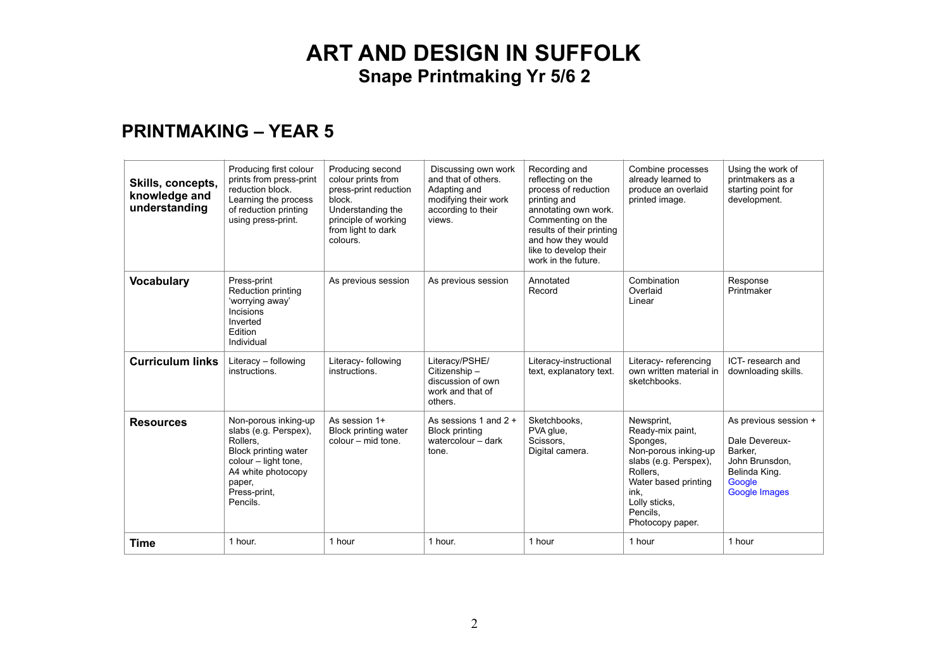#### **PRINTMAKING – YEAR 5**

| Skills, concepts,<br>knowledge and<br>understanding | Producing first colour<br>prints from press-print<br>reduction block.<br>Learning the process<br>of reduction printing<br>using press-print.                          | Producing second<br>colour prints from<br>press-print reduction<br>block.<br>Understanding the<br>principle of working<br>from light to dark<br>colours. | Discussing own work<br>and that of others.<br>Adapting and<br>modifying their work<br>according to their<br>views. | Recording and<br>reflecting on the<br>process of reduction<br>printing and<br>annotating own work.<br>Commenting on the<br>results of their printing<br>and how they would<br>like to develop their<br>work in the future. | Combine processes<br>already learned to<br>produce an overlaid<br>printed image.                                                                                                         | Using the work of<br>printmakers as a<br>starting point for<br>development.                                             |
|-----------------------------------------------------|-----------------------------------------------------------------------------------------------------------------------------------------------------------------------|----------------------------------------------------------------------------------------------------------------------------------------------------------|--------------------------------------------------------------------------------------------------------------------|----------------------------------------------------------------------------------------------------------------------------------------------------------------------------------------------------------------------------|------------------------------------------------------------------------------------------------------------------------------------------------------------------------------------------|-------------------------------------------------------------------------------------------------------------------------|
| <b>Vocabulary</b>                                   | Press-print<br>Reduction printing<br>'worrying away'<br>Incisions<br>Inverted<br>Edition<br>Individual                                                                | As previous session                                                                                                                                      | As previous session                                                                                                | Annotated<br>Record                                                                                                                                                                                                        | Combination<br>Overlaid<br>Linear                                                                                                                                                        | Response<br>Printmaker                                                                                                  |
| <b>Curriculum links</b>                             | Literacy - following<br>instructions.                                                                                                                                 | Literacy- following<br>instructions.                                                                                                                     | Literacy/PSHE/<br>Citizenship-<br>discussion of own<br>work and that of<br>others.                                 | Literacy-instructional<br>text, explanatory text.                                                                                                                                                                          | Literacy-referencing<br>own written material in<br>sketchbooks.                                                                                                                          | ICT-research and<br>downloading skills.                                                                                 |
| <b>Resources</b>                                    | Non-porous inking-up<br>slabs (e.g. Perspex),<br>Rollers,<br>Block printing water<br>colour - light tone,<br>A4 white photocopy<br>paper,<br>Press-print,<br>Pencils. | As session 1+<br>Block printing water<br>colour – mid tone.                                                                                              | As sessions 1 and $2 +$<br><b>Block printing</b><br>watercolour - dark<br>tone.                                    | Sketchbooks.<br>PVA glue,<br>Scissors,<br>Digital camera.                                                                                                                                                                  | Newsprint,<br>Ready-mix paint,<br>Sponges,<br>Non-porous inking-up<br>slabs (e.g. Perspex),<br>Rollers.<br>Water based printing<br>ink.<br>Lolly sticks.<br>Pencils,<br>Photocopy paper. | As previous session +<br>Dale Devereux-<br>Barker,<br>John Brunsdon.<br>Belinda King.<br>Google<br><b>Google Images</b> |
| <b>Time</b>                                         | 1 hour.                                                                                                                                                               | 1 hour                                                                                                                                                   | 1 hour.                                                                                                            | 1 hour                                                                                                                                                                                                                     | 1 hour                                                                                                                                                                                   | 1 hour                                                                                                                  |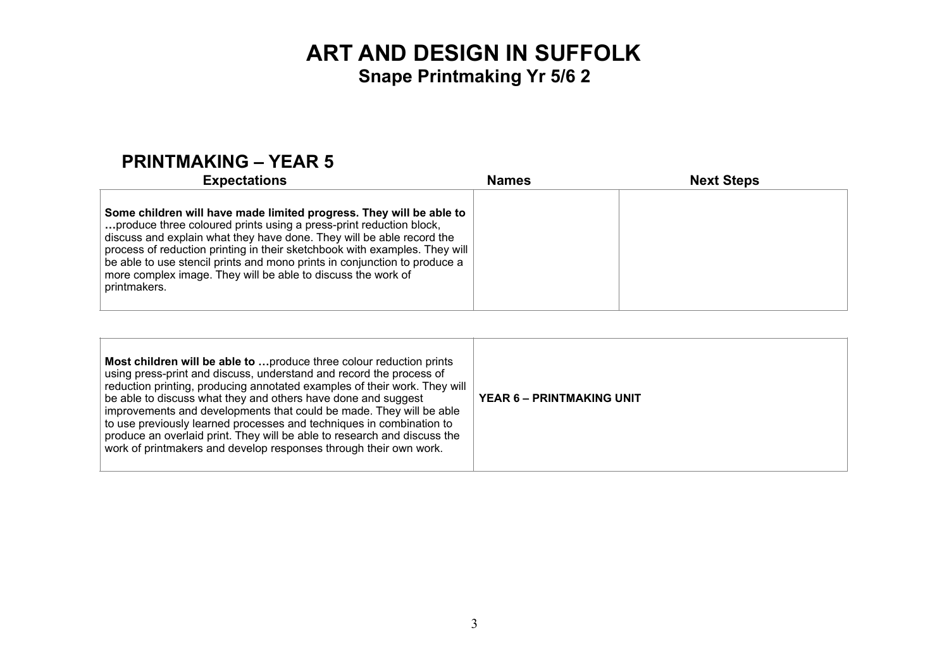#### **PRINTMAKING – YEAR 5**

| <b>Expectations</b>                                                                                                                                                                                                                                                                                                                                                                                                                                           | <b>Names</b> | <b>Next Steps</b> |
|---------------------------------------------------------------------------------------------------------------------------------------------------------------------------------------------------------------------------------------------------------------------------------------------------------------------------------------------------------------------------------------------------------------------------------------------------------------|--------------|-------------------|
| Some children will have made limited progress. They will be able to<br>produce three coloured prints using a press-print reduction block,<br>discuss and explain what they have done. They will be able record the<br>process of reduction printing in their sketchbook with examples. They will<br>be able to use stencil prints and mono prints in conjunction to produce a<br>more complex image. They will be able to discuss the work of<br>printmakers. |              |                   |

| Most children will be able to  produce three colour reduction prints<br>using press-print and discuss, understand and record the process of<br>reduction printing, producing annotated examples of their work. They will<br>be able to discuss what they and others have done and suggest<br>improvements and developments that could be made. They will be able<br>to use previously learned processes and techniques in combination to<br>produce an overlaid print. They will be able to research and discuss the<br>work of printmakers and develop responses through their own work. | <b>YEAR 6 - PRINTMAKING UNIT</b> |
|-------------------------------------------------------------------------------------------------------------------------------------------------------------------------------------------------------------------------------------------------------------------------------------------------------------------------------------------------------------------------------------------------------------------------------------------------------------------------------------------------------------------------------------------------------------------------------------------|----------------------------------|
|                                                                                                                                                                                                                                                                                                                                                                                                                                                                                                                                                                                           |                                  |